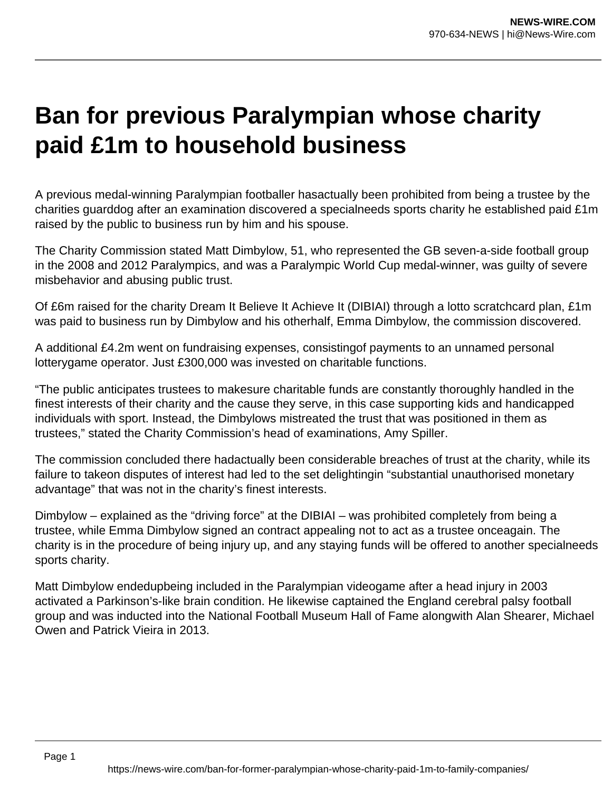## **Ban for previous Paralympian whose charity paid £1m to household business**

A previous medal-winning Paralympian footballer hasactually been prohibited from being a trustee by the charities guarddog after an examination discovered a specialneeds sports charity he established paid £1m raised by the public to business run by him and his spouse.

The Charity Commission stated Matt Dimbylow, 51, who represented the GB seven-a-side football group in the 2008 and 2012 Paralympics, and was a Paralympic World Cup medal-winner, was guilty of severe misbehavior and abusing public trust.

Of £6m raised for the charity Dream It Believe It Achieve It (DIBIAI) through a lotto scratchcard plan, £1m was paid to business run by Dimbylow and his otherhalf, Emma Dimbylow, the commission discovered.

A additional £4.2m went on fundraising expenses, consistingof payments to an unnamed personal lotterygame operator. Just £300,000 was invested on charitable functions.

"The public anticipates trustees to makesure charitable funds are constantly thoroughly handled in the finest interests of their charity and the cause they serve, in this case supporting kids and handicapped individuals with sport. Instead, the Dimbylows mistreated the trust that was positioned in them as trustees," stated the Charity Commission's head of examinations, Amy Spiller.

The commission concluded there hadactually been considerable breaches of trust at the charity, while its failure to takeon disputes of interest had led to the set delightingin "substantial unauthorised monetary advantage" that was not in the charity's finest interests.

Dimbylow – explained as the "driving force" at the DIBIAI – was prohibited completely from being a trustee, while Emma Dimbylow signed an contract appealing not to act as a trustee onceagain. The charity is in the procedure of being injury up, and any staying funds will be offered to another specialneeds sports charity.

Matt Dimbylow endedupbeing included in the Paralympian videogame after a head injury in 2003 activated a Parkinson's-like brain condition. He likewise captained the England cerebral palsy football group and was inducted into the National Football Museum Hall of Fame alongwith Alan Shearer, Michael Owen and Patrick Vieira in 2013.